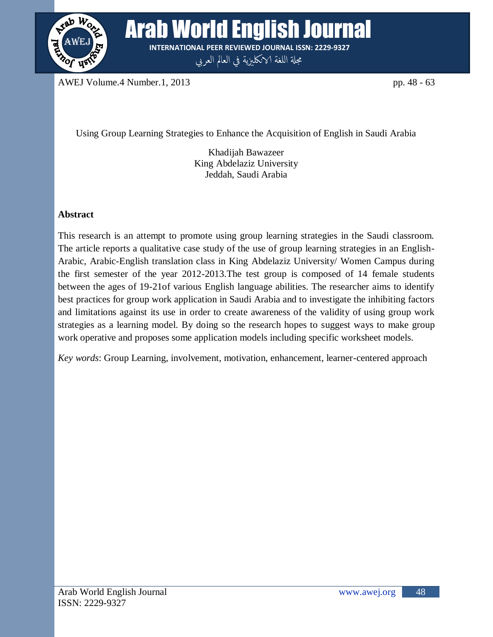

**Arab World English Journal INTERNATIONAL PEER REVIEWED JOURNAL ISSN: 2229-9327**

مجلة اللغة الانكليزية في العالم العربي

AWEJ Volume.4 Number.1, 2013 pp. 48 - 63

Using Group Learning Strategies to Enhance the Acquisition of English in Saudi Arabia

Khadijah Bawazeer King Abdelaziz University Jeddah, Saudi Arabia

# **Abstract**

This research is an attempt to promote using group learning strategies in the Saudi classroom. The article reports a qualitative case study of the use of group learning strategies in an English-Arabic, Arabic-English translation class in King Abdelaziz University/ Women Campus during the first semester of the year 2012-2013.The test group is composed of 14 female students between the ages of 19-21of various English language abilities. The researcher aims to identify best practices for group work application in Saudi Arabia and to investigate the inhibiting factors and limitations against its use in order to create awareness of the validity of using group work strategies as a learning model. By doing so the research hopes to suggest ways to make group work operative and proposes some application models including specific worksheet models.

*Key words*: Group Learning, involvement, motivation, enhancement, learner-centered approach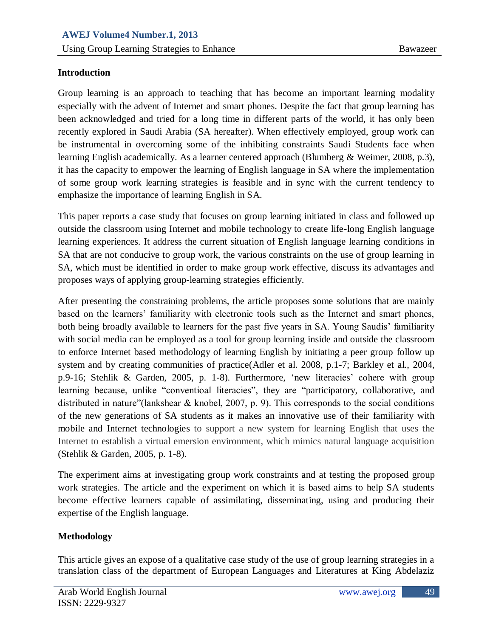## **Introduction**

Group learning is an approach to teaching that has become an important learning modality especially with the advent of Internet and smart phones. Despite the fact that group learning has been acknowledged and tried for a long time in different parts of the world, it has only been recently explored in Saudi Arabia (SA hereafter). When effectively employed, group work can be instrumental in overcoming some of the inhibiting constraints Saudi Students face when learning English academically. As a learner centered approach (Blumberg & Weimer, 2008, p.3), it has the capacity to empower the learning of English language in SA where the implementation of some group work learning strategies is feasible and in sync with the current tendency to emphasize the importance of learning English in SA.

This paper reports a case study that focuses on group learning initiated in class and followed up outside the classroom using Internet and mobile technology to create life-long English language learning experiences. It address the current situation of English language learning conditions in SA that are not conducive to group work, the various constraints on the use of group learning in SA, which must be identified in order to make group work effective, discuss its advantages and proposes ways of applying group-learning strategies efficiently.

After presenting the constraining problems, the article proposes some solutions that are mainly based on the learners' familiarity with electronic tools such as the Internet and smart phones, both being broadly available to learners for the past five years in SA. Young Saudis' familiarity with social media can be employed as a tool for group learning inside and outside the classroom to enforce Internet based methodology of learning English by initiating a peer group follow up system and by creating communities of practice(Adler et al. 2008, p.1-7; Barkley et al., 2004, p.9-16; Stehlik & Garden, 2005, p. 1-8). Furthermore, "new literacies" cohere with group learning because, unlike "conventioal literacies", they are "participatory, collaborative, and distributed in nature"(lankshear & knobel, 2007, p. 9). This corresponds to the social conditions of the new generations of SA students as it makes an innovative use of their familiarity with mobile and Internet technologies to support a new system for learning English that uses the Internet to establish a virtual emersion environment, which mimics natural language acquisition (Stehlik & Garden, 2005, p. 1-8).

The experiment aims at investigating group work constraints and at testing the proposed group work strategies. The article and the experiment on which it is based aims to help SA students become effective learners capable of assimilating, disseminating, using and producing their expertise of the English language.

## **Methodology**

This article gives an expose of a qualitative case study of the use of group learning strategies in a translation class of the department of European Languages and Literatures at King Abdelaziz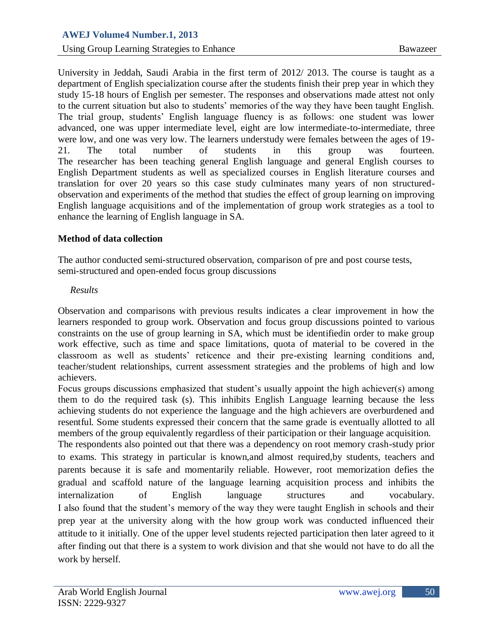*Using Group Learning Strategies to Enhance* Bawazeer

University in Jeddah, Saudi Arabia in the first term of 2012/ 2013. The course is taught as a department of English specialization course after the students finish their prep year in which they study 15-18 hours of English per semester. The responses and observations made attest not only to the current situation but also to students" memories of the way they have been taught English. The trial group, students" English language fluency is as follows: one student was lower advanced, one was upper intermediate level, eight are low intermediate-to-intermediate, three were low, and one was very low. The learners understudy were females between the ages of 19- 21. The total number of students in this group was fourteen. The researcher has been teaching general English language and general English courses to English Department students as well as specialized courses in English literature courses and translation for over 20 years so this case study culminates many years of non structuredobservation and experiments of the method that studies the effect of group learning on improving English language acquisitions and of the implementation of group work strategies as a tool to enhance the learning of English language in SA.

# **Method of data collection**

The author conducted semi-structured observation, comparison of pre and post course tests, semi-structured and open-ended focus group discussions

## *Results*

Observation and comparisons with previous results indicates a clear improvement in how the learners responded to group work. Observation and focus group discussions pointed to various constraints on the use of group learning in SA, which must be identifiedin order to make group work effective, such as time and space limitations, quota of material to be covered in the classroom as well as students" reticence and their pre-existing learning conditions and, teacher/student relationships, current assessment strategies and the problems of high and low achievers.

Focus groups discussions emphasized that student's usually appoint the high achiever(s) among them to do the required task (s). This inhibits English Language learning because the less achieving students do not experience the language and the high achievers are overburdened and resentful. Some students expressed their concern that the same grade is eventually allotted to all members of the group equivalently regardless of their participation or their language acquisition.

The respondents also pointed out that there was a dependency on root memory crash-study prior to exams. This strategy in particular is known,and almost required,by students, teachers and parents because it is safe and momentarily reliable. However, root memorization defies the gradual and scaffold nature of the language learning acquisition process and inhibits the internalization of English language structures and vocabulary. I also found that the student"s memory of the way they were taught English in schools and their prep year at the university along with the how group work was conducted influenced their attitude to it initially. One of the upper level students rejected participation then later agreed to it after finding out that there is a system to work division and that she would not have to do all the work by herself.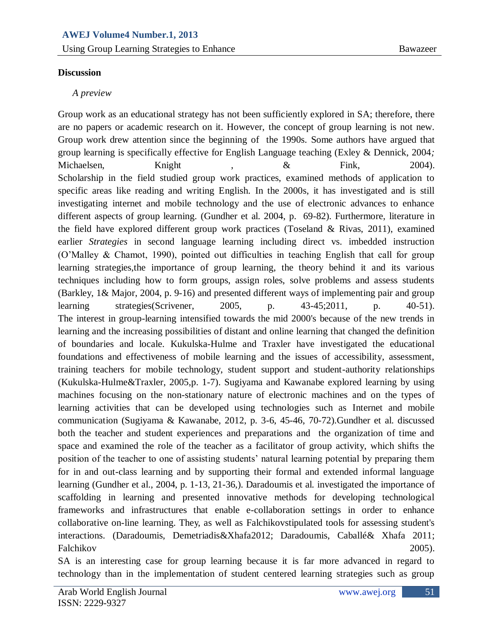## **Discussion**

## *A preview*

Group work as an educational strategy has not been sufficiently explored in SA; therefore, there are no papers or academic research on it. However, the concept of group learning is not new. Group work drew attention since the beginning of the 1990s. Some authors have argued that group learning is specifically effective for English Language teaching (Exley & Dennick, 2004*;*  Michaelsen, Knight , & Fink, 2004). Scholarship in the field studied group work practices, examined methods of application to specific areas like reading and writing English. In the 2000s, it has investigated and is still investigating internet and mobile technology and the use of electronic advances to enhance different aspects of group learning. (Gundher et al. 2004, p. 69-82). Furthermore, literature in the field have explored different group work practices (Toseland & Rivas, 2011), examined earlier *Strategies* in second language learning including direct vs. imbedded instruction (O"Malley & Chamot, 1990), pointed out difficulties in teaching English that call for group learning strategies,the importance of group learning, the theory behind it and its various techniques including how to form groups, assign roles, solve problems and assess students (Barkley, 1& [Major,](http://www.amazon.com/Claire-Howell-Major/e/B0034OEDZ2/ref=ntt_athr_dp_pel_3) 2004, p. 9-16) and presented different ways of implementing pair and group learning strategies(Scrivener, 2005, p. 43-45;2011, p. 40-51). The interest in group-learning intensified towards the mid 2000's because of the new trends in learning and the increasing possibilities of distant and online learning that changed the definition of boundaries and locale. Kukulska-Hulme and Traxler have investigated the educational foundations and effectiveness of mobile learning and the issues of accessibility, assessment, training teachers for mobile technology, student support and student-authority relationships (Kukulska-Hulme&Traxler, 2005,p. 1-7). Sugiyama and Kawanabe explored learning by using machines focusing on the non-stationary nature of electronic machines and on the types of learning activities that can be developed using technologies such as Internet and mobile communication (Sugiyama & Kawanabe, 2012, p. 3-6, 45-46, 70-72).Gundher et al. discussed both the teacher and student experiences and preparations and the organization of time and space and examined the role of the teacher as a facilitator of group activity, which shifts the position of the teacher to one of assisting students' natural learning potential by preparing them for in and out-class learning and by supporting their formal and extended informal language learning (Gundher et al., 2004, p. 1-13, 21-36,). Daradoumis et al. investigated the importance of scaffolding in learning and presented innovative methods for developing technological frameworks and infrastructures that enable e-collaboration settings in order to enhance collaborative on-line learning. They, as well as Falchikovstipulated tools for assessing student's interactions. (Daradoumis, [Demetriadis&](http://www.amazon.com/s/ref=ntt_athr_dp_sr_2?_encoding=UTF8&sort=relevancerank&search-alias=books&ie=UTF8&field-author=Stavros%20N.%20Demetriadis)[Xhafa2](http://www.amazon.com/s/ref=ntt_athr_dp_sr_4?_encoding=UTF8&sort=relevancerank&search-alias=books&ie=UTF8&field-author=Fatos%20Xhafa)012; Daradoumis, [Caballé&](http://www.amazon.com/s/ref=ntt_athr_dp_sr_2?_encoding=UTF8&sort=relevancerank&search-alias=books&ie=UTF8&field-author=Santi%20Caball%C3%A9) [Xhafa](http://www.amazon.com/s/ref=ntt_athr_dp_sr_4?_encoding=UTF8&sort=relevancerank&search-alias=books&ie=UTF8&field-author=Fatos%20Xhafa) 2011; Falchikov 2005).

SA is an interesting case for group learning because it is far more advanced in regard to technology than in the implementation of student centered learning strategies such as group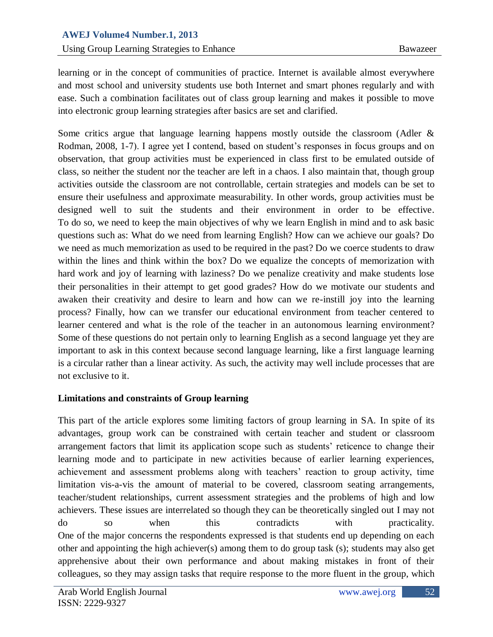learning or in the concept of communities of practice. Internet is available almost everywhere and most school and university students use both Internet and smart phones regularly and with ease. Such a combination facilitates out of class group learning and makes it possible to move into electronic group learning strategies after basics are set and clarified.

Some critics argue that language learning happens mostly outside the classroom (Adler  $\&$ Rodman, 2008, 1-7). I agree yet I contend, based on student's responses in focus groups and on observation, that group activities must be experienced in class first to be emulated outside of class, so neither the student nor the teacher are left in a chaos. I also maintain that, though group activities outside the classroom are not controllable, certain strategies and models can be set to ensure their usefulness and approximate measurability. In other words, group activities must be designed well to suit the students and their environment in order to be effective. To do so, we need to keep the main objectives of why we learn English in mind and to ask basic questions such as: What do we need from learning English? How can we achieve our goals? Do we need as much memorization as used to be required in the past? Do we coerce students to draw within the lines and think within the box? Do we equalize the concepts of memorization with hard work and joy of learning with laziness? Do we penalize creativity and make students lose their personalities in their attempt to get good grades? How do we motivate our students and awaken their creativity and desire to learn and how can we re-instill joy into the learning process? Finally, how can we transfer our educational environment from teacher centered to learner centered and what is the role of the teacher in an autonomous learning environment? Some of these questions do not pertain only to learning English as a second language yet they are important to ask in this context because second language learning, like a first language learning is a circular rather than a linear activity. As such, the activity may well include processes that are not exclusive to it.

## **Limitations and constraints of Group learning**

This part of the article explores some limiting factors of group learning in SA. In spite of its advantages, group work can be constrained with certain teacher and student or classroom arrangement factors that limit its application scope such as students" reticence to change their learning mode and to participate in new activities because of earlier learning experiences, achievement and assessment problems along with teachers' reaction to group activity, time limitation vis-a-vis the amount of material to be covered, classroom seating arrangements, teacher/student relationships, current assessment strategies and the problems of high and low achievers. These issues are interrelated so though they can be theoretically singled out I may not do so when this contradicts with practicality. One of the major concerns the respondents expressed is that students end up depending on each other and appointing the high achiever(s) among them to do group task (s); students may also get apprehensive about their own performance and about making mistakes in front of their colleagues, so they may assign tasks that require response to the more fluent in the group, which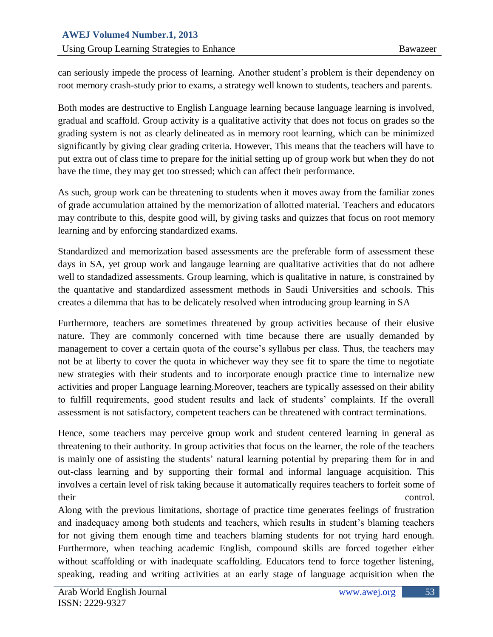can seriously impede the process of learning. Another student"s problem is their dependency on root memory crash-study prior to exams, a strategy well known to students, teachers and parents.

Both modes are destructive to English Language learning because language learning is involved, gradual and scaffold. Group activity is a qualitative activity that does not focus on grades so the grading system is not as clearly delineated as in memory root learning, which can be minimized significantly by giving clear grading criteria. However, This means that the teachers will have to put extra out of class time to prepare for the initial setting up of group work but when they do not have the time, they may get too stressed; which can affect their performance.

As such, group work can be threatening to students when it moves away from the familiar zones of grade accumulation attained by the memorization of allotted material. Teachers and educators may contribute to this, despite good will, by giving tasks and quizzes that focus on root memory learning and by enforcing standardized exams.

Standardized and memorization based assessments are the preferable form of assessment these days in SA, yet group work and langauge learning are qualitative activities that do not adhere well to standadized assessments. Group learning, which is qualitative in nature, is constrained by the quantative and standardized assessment methods in Saudi Universities and schools. This creates a dilemma that has to be delicately resolved when introducing group learning in SA

Furthermore, teachers are sometimes threatened by group activities because of their elusive nature. They are commonly concerned with time because there are usually demanded by management to cover a certain quota of the course's syllabus per class. Thus, the teachers may not be at liberty to cover the quota in whichever way they see fit to spare the time to negotiate new strategies with their students and to incorporate enough practice time to internalize new activities and proper Language learning.Moreover, teachers are typically assessed on their ability to fulfill requirements, good student results and lack of students" complaints. If the overall assessment is not satisfactory, competent teachers can be threatened with contract terminations.

Hence, some teachers may perceive group work and student centered learning in general as threatening to their authority. In group activities that focus on the learner, the role of the teachers is mainly one of assisting the students' natural learning potential by preparing them for in and out-class learning and by supporting their formal and informal language acquisition. This involves a certain level of risk taking because it automatically requires teachers to forfeit some of their control.

Along with the previous limitations, shortage of practice time generates feelings of frustration and inadequacy among both students and teachers, which results in student"s blaming teachers for not giving them enough time and teachers blaming students for not trying hard enough. Furthermore, when teaching academic English, compound skills are forced together either without scaffolding or with inadequate scaffolding. Educators tend to force together listening, speaking, reading and writing activities at an early stage of language acquisition when the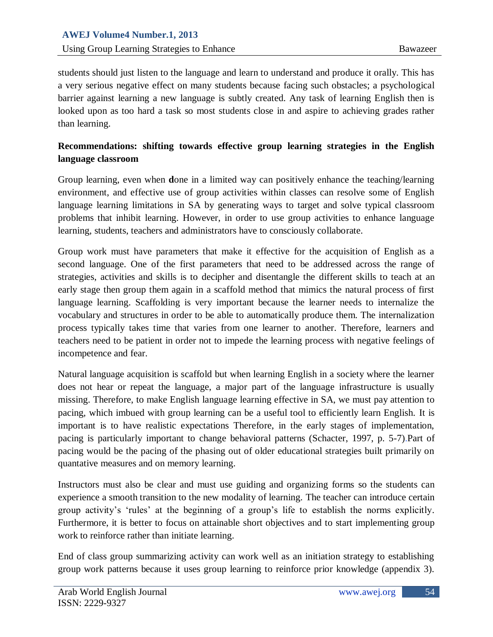students should just listen to the language and learn to understand and produce it orally. This has a very serious negative effect on many students because facing such obstacles; a psychological barrier against learning a new language is subtly created. Any task of learning English then is looked upon as too hard a task so most students close in and aspire to achieving grades rather than learning.

# **Recommendations: shifting towards effective group learning strategies in the English language classroom**

Group learning, even when **d**one in a limited way can positively enhance the teaching/learning environment, and effective use of group activities within classes can resolve some of English language learning limitations in SA by generating ways to target and solve typical classroom problems that inhibit learning. However, in order to use group activities to enhance language learning, students, teachers and administrators have to consciously collaborate.

Group work must have parameters that make it effective for the acquisition of English as a second language. One of the first parameters that need to be addressed across the range of strategies, activities and skills is to decipher and disentangle the different skills to teach at an early stage then group them again in a scaffold method that mimics the natural process of first language learning. Scaffolding is very important because the learner needs to internalize the vocabulary and structures in order to be able to automatically produce them. The internalization process typically takes time that varies from one learner to another. Therefore, learners and teachers need to be patient in order not to impede the learning process with negative feelings of incompetence and fear.

Natural language acquisition is scaffold but when learning English in a society where the learner does not hear or repeat the language, a major part of the language infrastructure is usually missing. Therefore, to make English language learning effective in SA, we must pay attention to pacing, which imbued with group learning can be a useful tool to efficiently learn English. It is important is to have realistic expectations Therefore, in the early stages of implementation, pacing is particularly important to change behavioral patterns (Schacter, 1997, p. 5-7).Part of pacing would be the pacing of the phasing out of older educational strategies built primarily on quantative measures and on memory learning.

Instructors must also be clear and must use guiding and organizing forms so the students can experience a smooth transition to the new modality of learning. The teacher can introduce certain group activity"s "rules" at the beginning of a group"s life to establish the norms explicitly. Furthermore, it is better to focus on attainable short objectives and to start implementing group work to reinforce rather than initiate learning.

End of class group summarizing activity can work well as an initiation strategy to establishing group work patterns because it uses group learning to reinforce prior knowledge (appendix 3).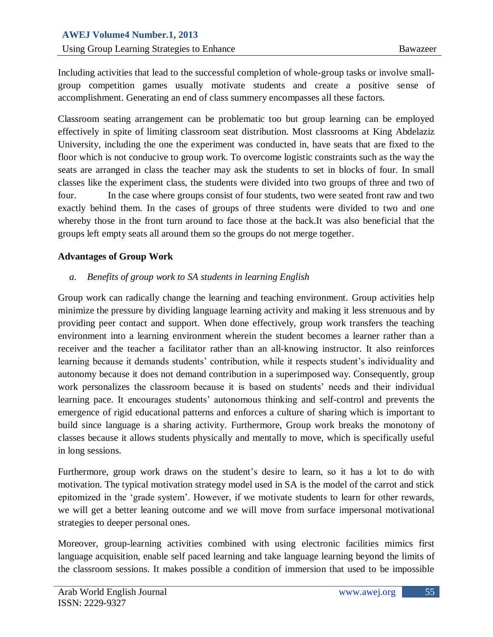Including activities that lead to the successful completion of whole-group tasks or involve smallgroup competition games usually motivate students and create a positive sense of accomplishment. Generating an end of class summery encompasses all these factors.

Classroom seating arrangement can be problematic too but group learning can be employed effectively in spite of limiting classroom seat distribution. Most classrooms at King Abdelaziz University, including the one the experiment was conducted in, have seats that are fixed to the floor which is not conducive to group work. To overcome logistic constraints such as the way the seats are arranged in class the teacher may ask the students to set in blocks of four. In small classes like the experiment class, the students were divided into two groups of three and two of four. In the case where groups consist of four students, two were seated front raw and two exactly behind them. In the cases of groups of three students were divided to two and one whereby those in the front turn around to face those at the back.It was also beneficial that the groups left empty seats all around them so the groups do not merge together.

## **Advantages of Group Work**

## *a. Benefits of group work to SA students in learning English*

Group work can radically change the learning and teaching environment. Group activities help minimize the pressure by dividing language learning activity and making it less strenuous and by providing peer contact and support. When done effectively, group work transfers the teaching environment into a learning environment wherein the student becomes a learner rather than a receiver and the teacher a facilitator rather than an all-knowing instructor. It also reinforces learning because it demands students' contribution, while it respects student's individuality and autonomy because it does not demand contribution in a superimposed way. Consequently, group work personalizes the classroom because it is based on students' needs and their individual learning pace. It encourages students" autonomous thinking and self-control and prevents the emergence of rigid educational patterns and enforces a culture of sharing which is important to build since language is a sharing activity. Furthermore, Group work breaks the monotony of classes because it allows students physically and mentally to move, which is specifically useful in long sessions.

Furthermore, group work draws on the student"s desire to learn, so it has a lot to do with motivation. The typical motivation strategy model used in SA is the model of the carrot and stick epitomized in the "grade system". However, if we motivate students to learn for other rewards, we will get a better leaning outcome and we will move from surface impersonal motivational strategies to deeper personal ones.

Moreover, group-learning activities combined with using electronic facilities mimics first language acquisition, enable self paced learning and take language learning beyond the limits of the classroom sessions. It makes possible a condition of immersion that used to be impossible

55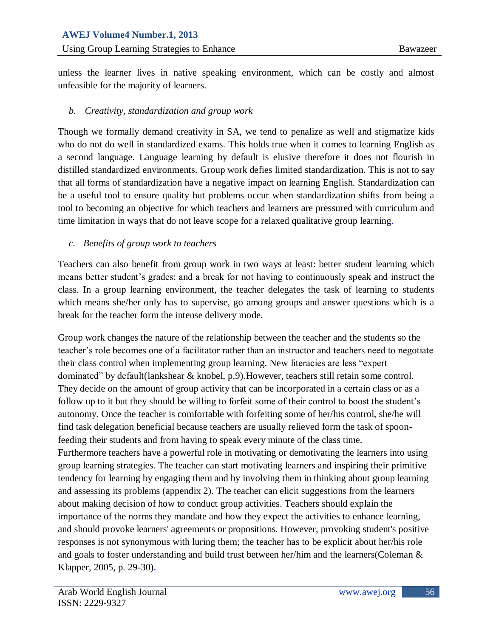unless the learner lives in native speaking environment, which can be costly and almost unfeasible for the majority of learners.

## *b. Creativity, standardization and group work*

Though we formally demand creativity in SA, we tend to penalize as well and stigmatize kids who do not do well in standardized exams. This holds true when it comes to learning English as a second language. Language learning by default is elusive therefore it does not flourish in distilled standardized environments. Group work defies limited standardization. This is not to say that all forms of standardization have a negative impact on learning English. Standardization can be a useful tool to ensure quality but problems occur when standardization shifts from being a tool to becoming an objective for which teachers and learners are pressured with curriculum and time limitation in ways that do not leave scope for a relaxed qualitative group learning.

## *c. Benefits of group work to teachers*

Teachers can also benefit from group work in two ways at least: better student learning which means better student"s grades; and a break for not having to continuously speak and instruct the class. In a group learning environment, the teacher delegates the task of learning to students which means she/her only has to supervise, go among groups and answer questions which is a break for the teacher form the intense delivery mode.

Group work changes the nature of the relationship between the teacher and the students so the teacher"s role becomes one of a facilitator rather than an instructor and teachers need to negotiate their class control when implementing group learning. New literacies are less "expert dominated" by default(lankshear & knobel, p.9).However, teachers still retain some control. They decide on the amount of group activity that can be incorporated in a certain class or as a follow up to it but they should be willing to forfeit some of their control to boost the student's autonomy. Once the teacher is comfortable with forfeiting some of her/his control, she/he will find task delegation beneficial because teachers are usually relieved form the task of spoonfeeding their students and from having to speak every minute of the class time. Furthermore teachers have a powerful role in motivating or demotivating the learners into using group learning strategies. The teacher can start motivating learners and inspiring their primitive tendency for learning by engaging them and by involving them in thinking about group learning and assessing its problems (appendix 2). The teacher can elicit suggestions from the learners about making decision of how to conduct group activities. Teachers should explain the importance of the norms they mandate and how they expect the activities to enhance learning, and should provoke learners' agreements or propositions. However, provoking student's positive responses is not synonymous with luring them; the teacher has to be explicit about her/his role and goals to foster understanding and build trust between her/him and the learners(Coleman & Klapper, 2005, p. 29-30)**.**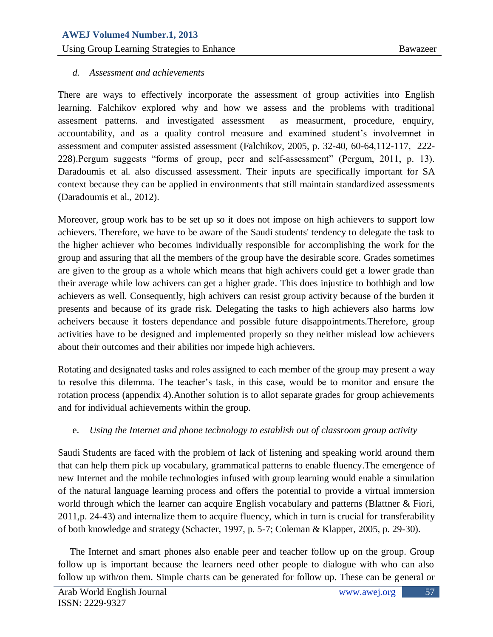# *d. Assessment and achievements*

There are ways to effectively incorporate the assessment of group activities into English learning. Falchikov explored why and how we assess and the problems with traditional assesment patterns. and investigated assessment as measurment, procedure, enquiry, accountability, and as a quality control measure and examined student"s involvemnet in assessment and computer assisted assessment (Falchikov, 2005, p. 32-40, 60-64,112-117, 222- 228).Pergum suggests "forms of group, peer and self-assessment" (Pergum, 2011, p. 13). Daradoumis et al. also discussed assessment. Their inputs are specifically important for SA context because they can be applied in environments that still maintain standardized assessments (Daradoumis et al., 2012).

Moreover, group work has to be set up so it does not impose on high achievers to support low achievers. Therefore, we have to be aware of the Saudi students' tendency to delegate the task to the higher achiever who becomes individually responsible for accomplishing the work for the group and assuring that all the members of the group have the desirable score. Grades sometimes are given to the group as a whole which means that high achivers could get a lower grade than their average while low achivers can get a higher grade. This does injustice to bothhigh and low achievers as well. Consequently, high achivers can resist group activity because of the burden it presents and because of its grade risk. Delegating the tasks to high achievers also harms low acheivers because it fosters dependance and possible future disappointments.Therefore, group activities have to be designed and implemented properly so they neither mislead low achievers about their outcomes and their abilities nor impede high achievers.

Rotating and designated tasks and roles assigned to each member of the group may present a way to resolve this dilemma. The teacher"s task, in this case, would be to monitor and ensure the rotation process (appendix 4).Another solution is to allot separate grades for group achievements and for individual achievements within the group.

# e. *Using the Internet and phone technology to establish out of classroom group activity*

Saudi Students are faced with the problem of lack of listening and speaking world around them that can help them pick up vocabulary, grammatical patterns to enable fluency.The emergence of new Internet and the mobile technologies infused with group learning would enable a simulation of the natural language learning process and offers the potential to provide a virtual immersion world through which the learner can acquire English vocabulary and patterns (Blattner & Fiori*,*  2011,p. 24-43) and internalize them to acquire fluency, which in turn is crucial for transferability of both knowledge and strategy (Schacter, 1997, p. 5-7; Coleman & Klapper, 2005, p. 29-30).

 The Internet and smart phones also enable peer and teacher follow up on the group. Group follow up is important because the learners need other people to dialogue with who can also follow up with/on them. Simple charts can be generated for follow up. These can be general or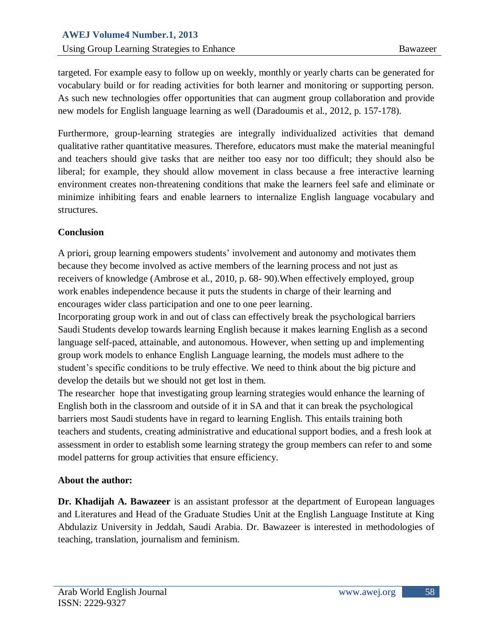targeted. For example easy to follow up on weekly, monthly or yearly charts can be generated for vocabulary build or for reading activities for both learner and monitoring or supporting person. As such new technologies offer opportunities that can augment group collaboration and provide new models for English language learning as well (Daradoumis et al., 2012, p. 157-178).

Furthermore, group-learning strategies are integrally individualized activities that demand qualitative rather quantitative measures. Therefore, educators must make the material meaningful and teachers should give tasks that are neither too easy nor too difficult; they should also be liberal; for example, they should allow movement in class because a free interactive learning environment creates non-threatening conditions that make the learners feel safe and eliminate or minimize inhibiting fears and enable learners to internalize English language vocabulary and structures.

## **Conclusion**

A priori, group learning empowers students" involvement and autonomy and motivates them because they become involved as active members of the learning process and not just as receivers of knowledge (Ambrose et al., 2010, p. 68- 90).When effectively employed, group work enables independence because it puts the students in charge of their learning and encourages wider class participation and one to one peer learning.

Incorporating group work in and out of class can effectively break the psychological barriers Saudi Students develop towards learning English because it makes learning English as a second language self-paced, attainable, and autonomous. However, when setting up and implementing group work models to enhance English Language learning, the models must adhere to the student"s specific conditions to be truly effective. We need to think about the big picture and develop the details but we should not get lost in them.

The researcher hope that investigating group learning strategies would enhance the learning of English both in the classroom and outside of it in SA and that it can break the psychological barriers most Saudi students have in regard to learning English. This entails training both teachers and students, creating administrative and educational support bodies, and a fresh look at assessment in order to establish some learning strategy the group members can refer to and some model patterns for group activities that ensure efficiency.

## **About the author:**

**Dr. Khadijah A. Bawazeer** is an assistant professor at the department of European languages and Literatures and Head of the Graduate Studies Unit at the English Language Institute at King Abdulaziz University in Jeddah, Saudi Arabia. Dr. Bawazeer is interested in methodologies of teaching, translation, journalism and feminism.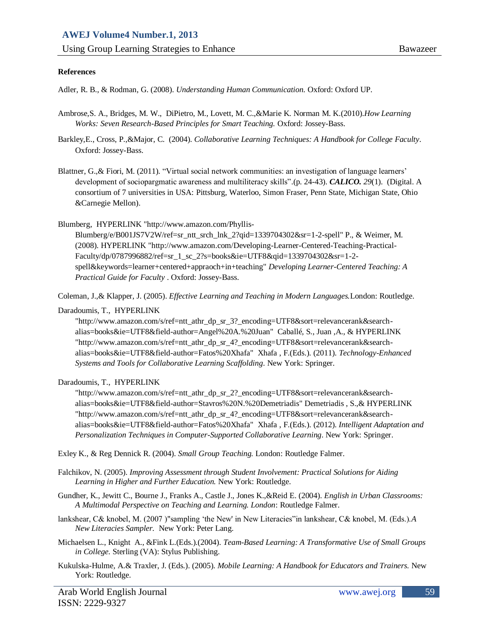*Using Group Learning Strategies to Enhance* Bawazeer Bawazeer

#### **References**

Adler, R. B., & Rodman, G. (2008). *Understanding Human Communication.* Oxford: Oxford UP.

- Ambrose,S. A., [Bridges,](http://www.amazon.com/s/ref=ntt_athr_dp_sr_2?_encoding=UTF8&sort=relevancerank&search-alias=books&ie=UTF8&field-author=Michael%20W.%20Bridges) M. W.[, DiPietro,](http://www.amazon.com/s/ref=ntt_athr_dp_sr_3?_encoding=UTF8&sort=relevancerank&search-alias=books&ie=UTF8&field-author=Michele%20DiPietro) M., [Lovett,](http://www.amazon.com/s/ref=ntt_athr_dp_sr_4?_encoding=UTF8&sort=relevancerank&search-alias=books&ie=UTF8&field-author=Marsha%20C.%20Lovett) M. C.,[&Marie K. Norman](http://www.amazon.com/s/ref=ntt_athr_dp_sr_5?_encoding=UTF8&sort=relevancerank&search-alias=books&ie=UTF8&field-author=Marie%20K.%20Norman) M. K.(2010).*How Learning Works: Seven Research-Based Principles for Smart Teaching.* Oxford: Jossey-Bass.
- Barkley[,E., Cross,](http://www.amazon.com/Elizabeth-F.-Barkley/e/B001HMNBFG/ref=ntt_athr_dp_pel_1) P.,[&Major,](http://www.amazon.com/Claire-Howell-Major/e/B0034OEDZ2/ref=ntt_athr_dp_pel_3) C. (2004). *Collaborative Learning Techniques: A Handbook for College Faculty*. Oxford: Jossey-Bass.
- Blattner, G., & Fiori, M. (2011). "Virtual social network communities: an investigation of language learners" development of sociopargmatic awareness and multiliteracy skills".(p. 24-43). *CALICO. 29*(1). (Digital. A consortium of 7 universities in USA: Pittsburg[, Waterloo,](http://en.wikipedia.org/wiki/University_of_Waterloo) [Simon Fraser,](http://en.wikipedia.org/wiki/Simon_Fraser_University) [Penn State, Michigan State,](http://en.wikipedia.org/wiki/Penn_State_University) [Ohio](http://en.wikipedia.org/wiki/Ohio_University)  [&Carnegie Mellon\).](http://en.wikipedia.org/wiki/Carnegie_Mellon_University)

Blumberg, HYPERLINK "http://www.amazon.com/Phyllis-

Blumberg/e/B001JS7V2W/ref=sr\_ntt\_srch\_lnk\_2?qid=1339704302&sr=1-2-spell" P., & Weimer, M. (2008). HYPERLINK "http://www.amazon.com/Developing-Learner-Centered-Teaching-Practical-Faculty/dp/0787996882/ref=sr\_1\_sc\_2?s=books&ie=UTF8&qid=1339704302&sr=1-2 spell&keywords=learner+centered+appraoch+in+teaching" *Developing Learner-Centered Teaching: A Practical Guide for Faculty* . Oxford: Jossey-Bass.

Coleman, J.,& Klapper, J. (2005). *Effective Learning and Teaching in Modern Languages.*London: Routledge.

Daradoumis, T., HYPERLINK

"http://www.amazon.com/s/ref=ntt\_athr\_dp\_sr\_3?\_encoding=UTF8&sort=relevancerank&searchalias=books&ie=UTF8&field-author=Angel%20A.%20Juan" Caballé, S., Juan ,A., & HYPERLINK "http://www.amazon.com/s/ref=ntt\_athr\_dp\_sr\_4?\_encoding=UTF8&sort=relevancerank&searchalias=books&ie=UTF8&field-author=Fatos%20Xhafa" Xhafa , F.(Eds.). (2011). *Technology-Enhanced Systems and Tools for Collaborative Learning Scaffolding*. New York: Springer.

Daradoumis, T., HYPERLINK

"http://www.amazon.com/s/ref=ntt\_athr\_dp\_sr\_2?\_encoding=UTF8&sort=relevancerank&searchalias=books&ie=UTF8&field-author=Stavros%20N.%20Demetriadis" Demetriadis , S.,& HYPERLINK "http://www.amazon.com/s/ref=ntt\_athr\_dp\_sr\_4?\_encoding=UTF8&sort=relevancerank&searchalias=books&ie=UTF8&field-author=Fatos%20Xhafa" Xhafa , F.(Eds.). (2012). *Intelligent Adaptation and Personalization Techniques in Computer-Supported Collaborative Learning*. New York: Springer.

Exley K., & Reg Dennick R. (2004). *Small Group Teaching.* London: Routledge Falmer.

- Falchikov, N. (2005). *Improving Assessment through Student Involvement: Practical Solutions for Aiding Learning in Higher and Further Education.* New York: Routledge.
- Gundher, K., Jewitt C., Bourne J., Franks A., Castle J., Jones K.,&Reid E. (2004). *English in Urban Classrooms: A Multimodal Perspective on Teaching and Learning. London*: Routledge Falmer.
- lankshear, C& knobel, M. (2007 )"sampling "the New' in New Literacies"in lankshear, C& knobel, M. (Eds.).*A New Literacies Sampler.* New York: Peter Lang.
- Michaelsen L., Knight A., &Fink L.(Eds.).(2004). *Team-Based Learning: A Transformative Use of Small Groups in College.* Sterling (VA): Stylus Publishing.
- Kukulska-Hulme*,* A.& Traxler, J. (Eds.). (2005)*. Mobile Learning: A Handbook for Educators and Trainers.* New York: Routledge.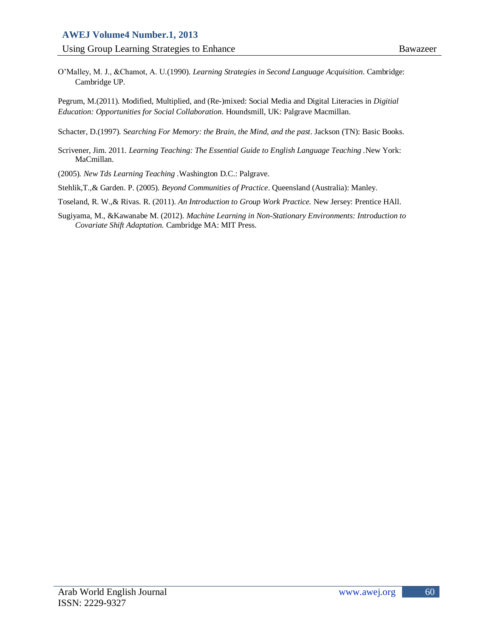O"Malley, M. J., &Chamot, A. U.(1990). *Learning Strategies in Second Language Acquisition*. Cambridge: Cambridge UP.

Pegrum, M.(2011). Modified, Multiplied, and (Re-)mixed: Social Media and Digital Literacies in *Digitial Education: Opportunities for Social Collaboration*. Houndsmill, UK: Palgrave Macmillan.

Schacter, D.(1997). S*earching For Memory: the Brain*, *the Mind, and the past*. Jackson (TN): Basic Books.

- Scrivener, Jim. 2011. *Learning Teaching: The Essential Guide to English Language Teaching .*New York: MaCmillan.
- (2005)*. New Tds Learning Teaching .*Washington D.C.: Palgrave.

Stehlik,T.,& Garden. P. (2005). *Beyond Communities of Practice*. Queensland (Australia): Manley.

Toseland, R. W.,& Rivas. R. (2011). *An Introduction to Group Work Practice.* New Jersey: Prentice HAll.

Sugiyama, M., &Kawanabe M. (2012). *Machine Learning in Non-Stationary Environments: Introduction to Covariate Shift Adaptation.* Cambridge MA: MIT Press.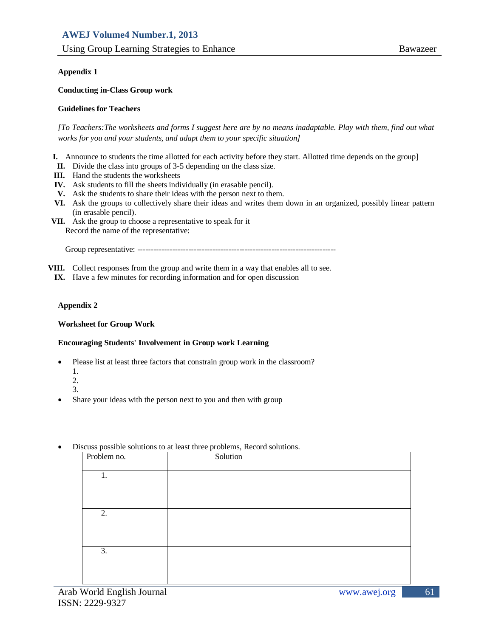#### **Appendix 1**

#### **Conducting in-Class Group work**

#### **Guidelines for Teachers**

*[To Teachers:The worksheets and forms I suggest here are by no means inadaptable. Play with them, find out what works for you and your students, and adapt them to your specific situation]*

- **I.** Announce to students the time allotted for each activity before they start. Allotted time depends on the group]
- **II.** Divide the class into groups of 3-5 depending on the class size.
- **III.** Hand the students the worksheets
- **IV.** Ask students to fill the sheets individually (in erasable pencil).
- **V.** Ask the students to share their ideas with the person next to them.
- **VI.** Ask the groups to collectively share their ideas and writes them down in an organized, possibly linear pattern (in erasable pencil).
- **VII.** Ask the group to choose a representative to speak for it Record the name of the representative:

Group representative: --------------------------------------------------------------------------

**VIII.** Collect responses from the group and write them in a way that enables all to see.

**IX.** Have a few minutes for recording information and for open discussion

#### **Appendix 2**

#### **Worksheet for Group Work**

#### **Encouraging Students' Involvement in Group work Learning**

- Please list at least three factors that constrain group work in the classroom?
	- 1.
	- 2.
	- 3.
- Share your ideas with the person next to you and then with group
- Discuss possible solutions to at least three problems, Record solutions.

| <u>—</u><br>Problem no. | Solution |
|-------------------------|----------|
| 1.                      |          |
|                         |          |
|                         |          |
| 2.                      |          |
|                         |          |
|                         |          |
| 3.                      |          |
|                         |          |
|                         |          |

61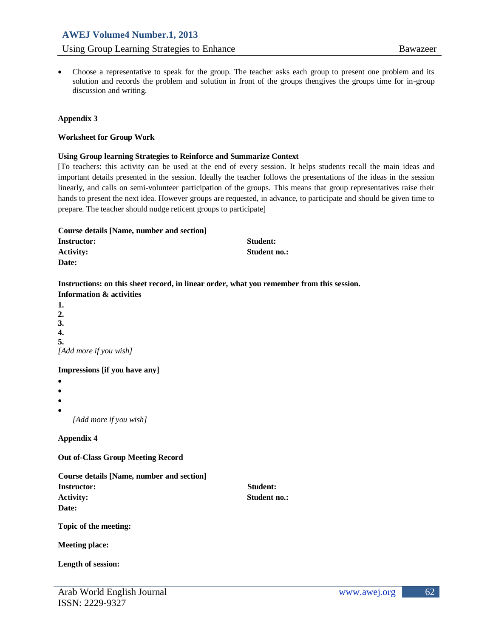# **AWEJ Volume4 Number.1, 2013** Using Group Learning Strategies to Enhance Bawazeer

 Choose a representative to speak for the group. The teacher asks each group to present one problem and its solution and records the problem and solution in front of the groups thengives the groups time for in-group discussion and writing.

#### **Appendix 3**

#### **Worksheet for Group Work**

#### **Using Group learning Strategies to Reinforce and Summarize Context**

[To teachers: this activity can be used at the end of every session. It helps students recall the main ideas and important details presented in the session. Ideally the teacher follows the presentations of the ideas in the session linearly, and calls on semi-volunteer participation of the groups. This means that group representatives raise their hands to present the next idea. However groups are requested, in advance, to participate and should be given time to prepare. The teacher should nudge reticent groups to participate]

| Course details [Name, number and section] |              |
|-------------------------------------------|--------------|
| <b>Instructor:</b>                        | Student:     |
| <b>Activity:</b>                          | Student no.: |
| Date:                                     |              |

#### **Instructions: on this sheet record, in linear order, what you remember from this session. Information & activities**

**1. 2. 3. 4. 5.** *[Add more if you wish]*

## **Impressions [if you have any]**

- $\bullet$
- $\bullet$
- $\bullet$
- $\bullet$

*[Add more if you wish]*

## **Appendix 4**

**Out of-Class Group Meeting Record**

**Course details [Name, number and section] Instructor: Student:** Activity: Student no.: **Date:**

**Topic of the meeting:**

**Meeting place:**

**Length of session:**